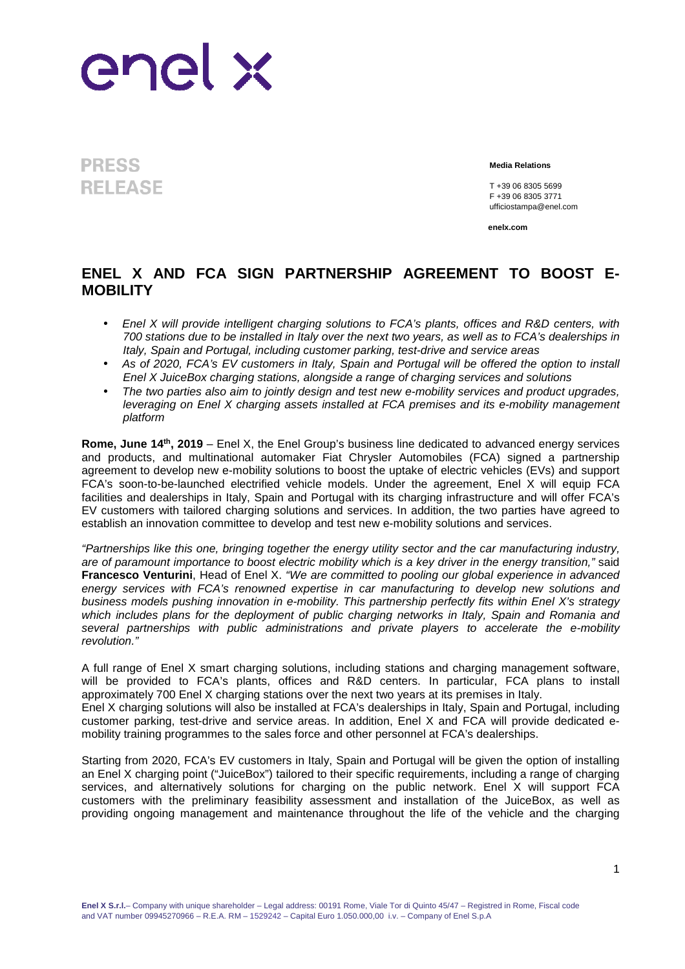

**PRESS RELEASE** 

**Media Relations**

T +39 06 8305 5699 F +39 06 8305 3771 ufficiostampa@enel.com

**enelx.com**

## **ENEL X AND FCA SIGN PARTNERSHIP AGREEMENT TO BOOST E-MOBILITY**

- Enel X will provide intelligent charging solutions to FCA's plants, offices and R&D centers, with 700 stations due to be installed in Italy over the next two years, as well as to FCA's dealerships in Italy, Spain and Portugal, including customer parking, test-drive and service areas
- As of 2020, FCA's EV customers in Italy, Spain and Portugal will be offered the option to install Enel X JuiceBox charging stations, alongside a range of charging services and solutions
- The two parties also aim to jointly design and test new e-mobility services and product upgrades, leveraging on Enel X charging assets installed at FCA premises and its e-mobility management platform

**Rome, June 14th, 2019** – Enel X, the Enel Group's business line dedicated to advanced energy services and products, and multinational automaker Fiat Chrysler Automobiles (FCA) signed a partnership agreement to develop new e-mobility solutions to boost the uptake of electric vehicles (EVs) and support FCA's soon-to-be-launched electrified vehicle models. Under the agreement, Enel X will equip FCA facilities and dealerships in Italy, Spain and Portugal with its charging infrastructure and will offer FCA's EV customers with tailored charging solutions and services. In addition, the two parties have agreed to establish an innovation committee to develop and test new e-mobility solutions and services.

"Partnerships like this one, bringing together the energy utility sector and the car manufacturing industry, are of paramount importance to boost electric mobility which is a key driver in the energy transition," said **Francesco Venturini**, Head of Enel X. "We are committed to pooling our global experience in advanced energy services with FCA's renowned expertise in car manufacturing to develop new solutions and business models pushing innovation in e-mobility. This partnership perfectly fits within Enel X's strategy which includes plans for the deployment of public charging networks in Italy, Spain and Romania and several partnerships with public administrations and private players to accelerate the e-mobility revolution."

A full range of Enel X smart charging solutions, including stations and charging management software, will be provided to FCA's plants, offices and R&D centers. In particular, FCA plans to install approximately 700 Enel X charging stations over the next two years at its premises in Italy.

Enel X charging solutions will also be installed at FCA's dealerships in Italy, Spain and Portugal, including customer parking, test-drive and service areas. In addition, Enel X and FCA will provide dedicated emobility training programmes to the sales force and other personnel at FCA's dealerships.

Starting from 2020, FCA's EV customers in Italy, Spain and Portugal will be given the option of installing an Enel X charging point ("JuiceBox") tailored to their specific requirements, including a range of charging services, and alternatively solutions for charging on the public network. Enel X will support FCA customers with the preliminary feasibility assessment and installation of the JuiceBox, as well as providing ongoing management and maintenance throughout the life of the vehicle and the charging